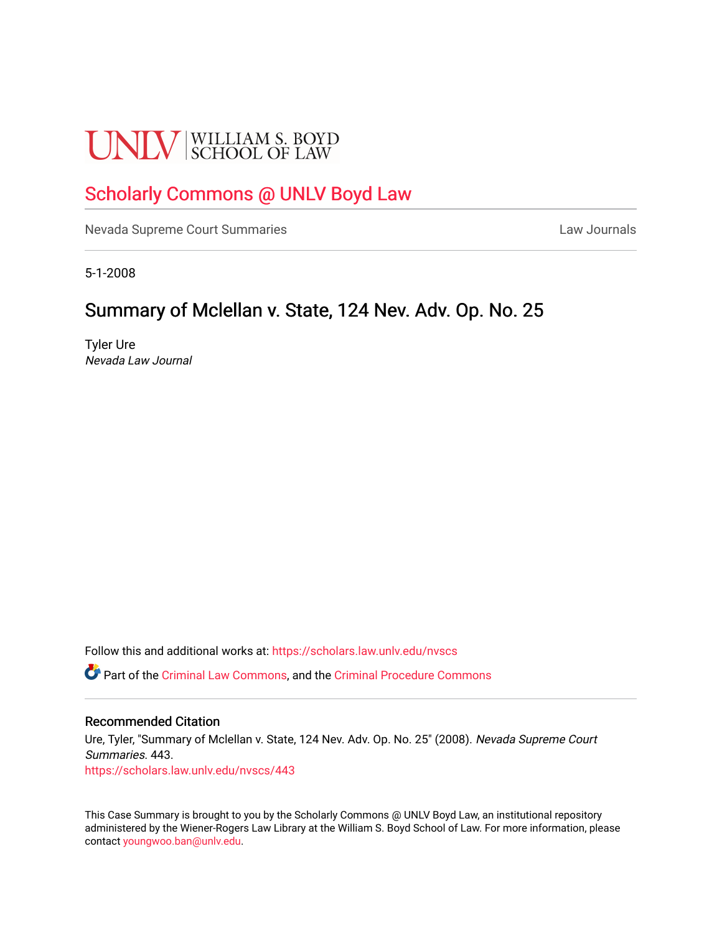# **UNLV** SCHOOL OF LAW

## [Scholarly Commons @ UNLV Boyd Law](https://scholars.law.unlv.edu/)

[Nevada Supreme Court Summaries](https://scholars.law.unlv.edu/nvscs) **Law Journals** Law Journals

5-1-2008

## Summary of Mclellan v. State, 124 Nev. Adv. Op. No. 25

Tyler Ure Nevada Law Journal

Follow this and additional works at: [https://scholars.law.unlv.edu/nvscs](https://scholars.law.unlv.edu/nvscs?utm_source=scholars.law.unlv.edu%2Fnvscs%2F443&utm_medium=PDF&utm_campaign=PDFCoverPages)

Part of the [Criminal Law Commons,](http://network.bepress.com/hgg/discipline/912?utm_source=scholars.law.unlv.edu%2Fnvscs%2F443&utm_medium=PDF&utm_campaign=PDFCoverPages) and the [Criminal Procedure Commons](http://network.bepress.com/hgg/discipline/1073?utm_source=scholars.law.unlv.edu%2Fnvscs%2F443&utm_medium=PDF&utm_campaign=PDFCoverPages)

#### Recommended Citation

Ure, Tyler, "Summary of Mclellan v. State, 124 Nev. Adv. Op. No. 25" (2008). Nevada Supreme Court Summaries. 443. [https://scholars.law.unlv.edu/nvscs/443](https://scholars.law.unlv.edu/nvscs/443?utm_source=scholars.law.unlv.edu%2Fnvscs%2F443&utm_medium=PDF&utm_campaign=PDFCoverPages)

This Case Summary is brought to you by the Scholarly Commons @ UNLV Boyd Law, an institutional repository administered by the Wiener-Rogers Law Library at the William S. Boyd School of Law. For more information, please contact [youngwoo.ban@unlv.edu](mailto:youngwoo.ban@unlv.edu).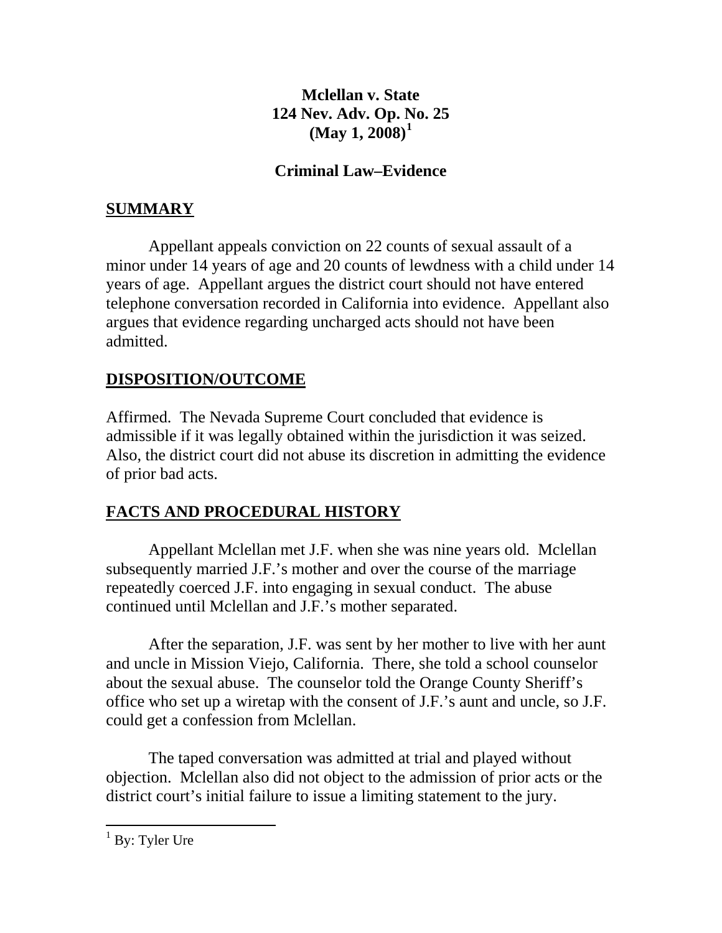#### **Mclellan v. State 124 Nev. Adv. Op. [N](#page-1-0)o. 25 (May 1, 2008)[1](#page-1-0)**

#### **Criminal Law–Evidence**

## **SUMMARY**

 Appellant appeals conviction on 22 counts of sexual assault of a minor under 14 years of age and 20 counts of lewdness with a child under 14 years of age. Appellant argues the district court should not have entered telephone conversation recorded in California into evidence. Appellant also argues that evidence regarding uncharged acts should not have been admitted.

## **DISPOSITION/OUTCOME**

Affirmed. The Nevada Supreme Court concluded that evidence is admissible if it was legally obtained within the jurisdiction it was seized. Also, the district court did not abuse its discretion in admitting the evidence of prior bad acts.

## **FACTS AND PROCEDURAL HISTORY**

 Appellant Mclellan met J.F. when she was nine years old. Mclellan subsequently married J.F.'s mother and over the course of the marriage repeatedly coerced J.F. into engaging in sexual conduct. The abuse continued until Mclellan and J.F.'s mother separated.

 After the separation, J.F. was sent by her mother to live with her aunt and uncle in Mission Viejo, California. There, she told a school counselor about the sexual abuse. The counselor told the Orange County Sheriff's office who set up a wiretap with the consent of J.F.'s aunt and uncle, so J.F. could get a confession from Mclellan.

 The taped conversation was admitted at trial and played without objection. Mclellan also did not object to the admission of prior acts or the district court's initial failure to issue a limiting statement to the jury.

<span id="page-1-0"></span><sup>&</sup>lt;sup>1</sup> By: Tyler Ure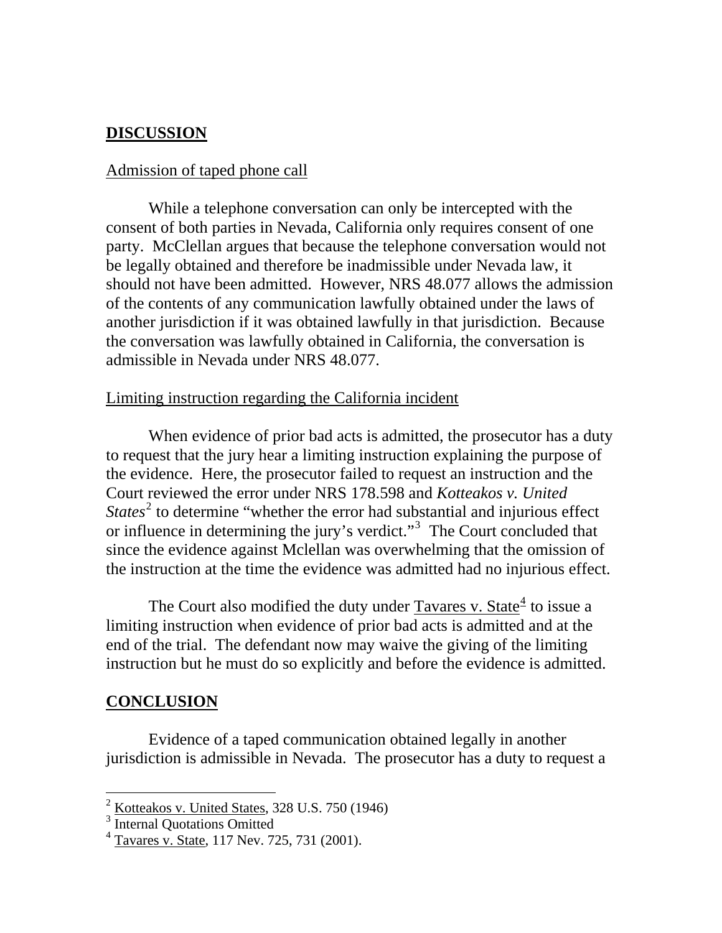#### **DISCUSSION**

#### Admission of taped phone call

 While a telephone conversation can only be intercepted with the consent of both parties in Nevada, California only requires consent of one party. McClellan argues that because the telephone conversation would not be legally obtained and therefore be inadmissible under Nevada law, it should not have been admitted. However, NRS 48.077 allows the admission of the contents of any communication lawfully obtained under the laws of another jurisdiction if it was obtained lawfully in that jurisdiction. Because the conversation was lawfully obtained in California, the conversation is admissible in Nevada under NRS 48.077.

#### Limiting instruction regarding the California incident

 When evidence of prior bad acts is admitted, the prosecutor has a duty to request that the jury hear a limiting instruction explaining the purpose of the evidence. Here, the prosecutor failed to request an instruction and the Court reviewed the error under NRS 178.598 and *Kotteakos v. United States*<sup>[2](#page-2-0)</sup> to determine "whether the error had substantial and injurious effect or influence in determining the jury's verdict."<sup>[3](#page-2-1)</sup> The Court concluded that since the evidence against Mclellan was overwhelming that the omission of the instruction at the time the evidence was admitted had no injurious effect.

The Court also modified the duty under  $Tavares$  v. State<sup>[4](#page-2-2)</sup> to issue a limiting instruction when evidence of prior bad acts is admitted and at the end of the trial. The defendant now may waive the giving of the limiting instruction but he must do so explicitly and before the evidence is admitted.

#### **CONCLUSION**

 $\overline{a}$ 

 Evidence of a taped communication obtained legally in another jurisdiction is admissible in Nevada. The prosecutor has a duty to request a

<span id="page-2-0"></span><sup>2</sup> Kotteakos v. United States, 328 U.S. 750 (1946)

<span id="page-2-1"></span><sup>&</sup>lt;sup>3</sup> Internal Quotations Omitted

<span id="page-2-2"></span> $4$  Tavares v. State, 117 Nev. 725, 731 (2001).